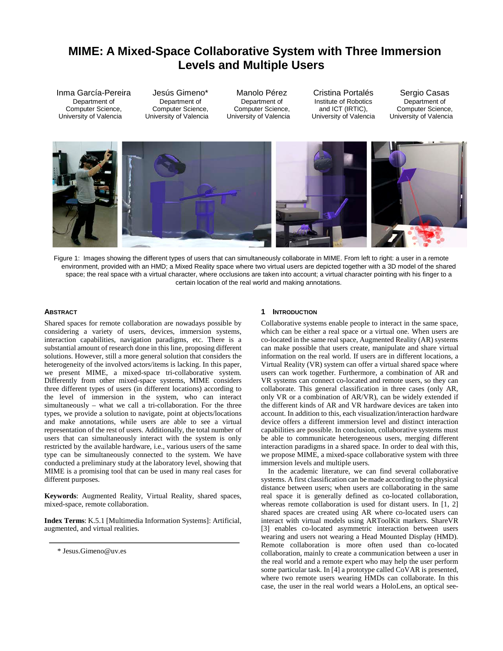# **MIME: A Mixed-Space Collaborative System with Three Immersion Levels and Multiple Users**

Inma García-Pereira Department of Computer Science, University of Valencia

Jesús Gimeno\* Department of Computer Science, University of Valencia

Manolo Pérez Department of Computer Science, University of Valencia

Cristina Portalés Institute of Robotics and ICT (IRTIC), University of Valencia

Sergio Casas Department of Computer Science, University of Valencia



Figure 1: Images showing the different types of users that can simultaneously collaborate in MIME. From left to right: a user in a remote environment, provided with an HMD; a Mixed Reality space where two virtual users are depicted together with a 3D model of the shared space; the real space with a virtual character, where occlusions are taken into account; a virtual character pointing with his finger to a certain location of the real world and making annotations.

## **ABSTRACT**

Shared spaces for remote collaboration are nowadays possible by considering a variety of users, devices, immersion systems, interaction capabilities, navigation paradigms, etc. There is a substantial amount of research done in this line, proposing different solutions. However, still a more general solution that considers the heterogeneity of the involved actors/items is lacking. In this paper, we present MIME, a mixed-space tri-collaborative system. Differently from other mixed-space systems, MIME considers three different types of users (in different locations) according to the level of immersion in the system, who can interact simultaneously – what we call a tri-collaboration. For the three types, we provide a solution to navigate, point at objects/locations and make annotations, while users are able to see a virtual representation of the rest of users. Additionally, the total number of users that can simultaneously interact with the system is only restricted by the available hardware, i.e., various users of the same type can be simultaneously connected to the system. We have conducted a preliminary study at the laboratory level, showing that MIME is a promising tool that can be used in many real cases for different purposes.

**Keywords**: Augmented Reality, Virtual Reality, shared spaces, mixed-space, remote collaboration.

**Index Terms**: K.5.1 [Multimedia Information Systems]: Artificial, augmented, and virtual realities.

## **1 INTRODUCTION**

Collaborative systems enable people to interact in the same space, which can be either a real space or a virtual one. When users are co-located in the same real space, Augmented Reality (AR) systems can make possible that users create, manipulate and share virtual information on the real world. If users are in different locations, a Virtual Reality (VR) system can offer a virtual shared space where users can work together. Furthermore, a combination of AR and VR systems can connect co-located and remote users, so they can collaborate. This general classification in three cases (only AR, only VR or a combination of AR/VR), can be widely extended if the different kinds of AR and VR hardware devices are taken into account. In addition to this, each visualization/interaction hardware device offers a different immersion level and distinct interaction capabilities are possible. In conclusion, collaborative systems must be able to communicate heterogeneous users, merging different interaction paradigms in a shared space. In order to deal with this, we propose MIME, a mixed-space collaborative system with three immersion levels and multiple users.

In the academic literature, we can find several collaborative systems. A first classification can be made according to the physical distance between users; when users are collaborating in the same real space it is generally defined as co-located collaboration, whereas remote collaboration is used for distant users. In [\[1,](#page-4-0) [2\]](#page-4-1) shared spaces are created using AR where co-located users can interact with virtual models using ARToolKit markers. ShareVR [\[3\]](#page-4-2) enables co-located asymmetric interaction between users wearing and users not wearing a Head Mounted Display (HMD). Remote collaboration is more often used than co-located collaboration, mainly to create a communication between a user in the real world and a remote expert who may help the user perform some particular task. In [\[4\]](#page-4-3) a prototype called CoVAR is presented, where two remote users wearing HMDs can collaborate. In this case, the user in the real world wears a HoloLens, an optical see-

<sup>\*</sup> Jesus.Gimeno@uv.es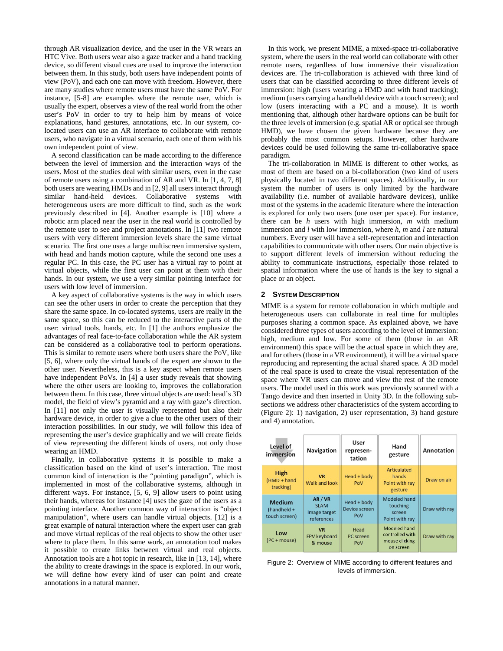through AR visualization device, and the user in the VR wears an HTC Vive. Both users wear also a gaze tracker and a hand tracking device, so different visual cues are used to improve the interaction between them. In this study, both users have independent points of view (PoV), and each one can move with freedom. However, there are many studies where remote users must have the same PoV. For instance, [\[5-8\]](#page-4-4) are examples where the remote user, which is usually the expert, observes a view of the real world from the other user's PoV in order to try to help him by means of voice explanations, hand gestures, annotations, etc. In our system, colocated users can use an AR interface to collaborate with remote users, who navigate in a virtual scenario, each one of them with his own independent point of view.

A second classification can be made according to the difference between the level of immersion and the interaction ways of the users. Most of the studies deal with similar users, even in the case of remote users using a combination of AR and VR. In [\[1,](#page-4-0) [4,](#page-4-3) [7,](#page-4-5) [8\]](#page-4-6) both users are wearing HMDs and in [\[2,](#page-4-1) [9\]](#page-4-7) all users interact through similar hand-held devices. Collaborative systems with heterogeneous users are more difficult to find, such as the work previously described in [\[4\]](#page-4-3). Another example is [\[10\]](#page-4-8) where a robotic arm placed near the user in the real world is controlled by the remote user to see and project annotations. In [\[11\]](#page-4-9) two remote users with very different immersion levels share the same virtual scenario. The first one uses a large multiscreen immersive system, with head and hands motion capture, while the second one uses a regular PC. In this case, the PC user has a virtual ray to point at virtual objects, while the first user can point at them with their hands. In our system, we use a very similar pointing interface for users with low level of immersion.

A key aspect of collaborative systems is the way in which users can see the other users in order to create the perception that they share the same space. In co-located systems, users are really in the same space, so this can be reduced to the interactive parts of the user: virtual tools, hands, etc. In [\[1\]](#page-4-0) the authors emphasize the advantages of real face-to-face collaboration while the AR system can be considered as a collaborative tool to perform operations. This is similar to remote users where both users share the PoV, like [\[5,](#page-4-4) [6\]](#page-4-10), where only the virtual hands of the expert are shown to the other user. Nevertheless, this is a key aspect when remote users have independent PoVs. In [\[4\]](#page-4-3) a user study reveals that showing where the other users are looking to, improves the collaboration between them. In this case, three virtual objects are used: head's 3D model, the field of view's pyramid and a ray with gaze's direction. In [\[11\]](#page-4-9) not only the user is visually represented but also their hardware device, in order to give a clue to the other users of their interaction possibilities. In our study, we will follow this idea of representing the user's device graphically and we will create fields of view representing the different kinds of users, not only those wearing an HMD.

Finally, in collaborative systems it is possible to make a classification based on the kind of user's interaction. The most common kind of interaction is the "pointing paradigm", which is implemented in most of the collaborative systems, although in different ways. For instance, [\[5,](#page-4-4) [6,](#page-4-10) [9\]](#page-4-7) allow users to point using their hands, whereas for instance [\[4\]](#page-4-3) uses the gaze of the users as a pointing interface. Another common way of interaction is "object manipulation", where users can handle virtual objects. [\[12\]](#page-4-11) is a great example of natural interaction where the expert user can grab and move virtual replicas of the real objects to show the other user where to place them. In this same work, an annotation tool makes it possible to create links between virtual and real objects. Annotation tools are a hot topic in research, like in [\[13,](#page-4-12) [14\]](#page-4-13), where the ability to create drawings in the space is explored. In our work, we will define how every kind of user can point and create annotations in a natural manner.

In this work, we present MIME, a mixed-space tri-collaborative system, where the users in the real world can collaborate with other remote users, regardless of how immersive their visualization devices are. The tri-collaboration is achieved with three kind of users that can be classified according to three different levels of immersion: high (users wearing a HMD and with hand tracking); medium (users carrying a handheld device with a touch screen); and low (users interacting with a PC and a mouse). It is worth mentioning that, although other hardware options can be built for the three levels of immersion (e.g. spatial AR or optical see through HMD), we have chosen the given hardware because they are probably the most common setups. However, other hardware devices could be used following the same tri-collaborative space paradigm.

The tri-collaboration in MIME is different to other works, as most of them are based on a bi-collaboration (two kind of users physically located in two different spaces). Additionally, in our system the number of users is only limited by the hardware availability (i.e. number of available hardware devices), unlike most of the systems in the academic literature where the interaction is explored for only two users (one user per space). For instance, there can be *h* users with high immersion, *m* with medium immersion and *l* with low immersion, where *h*, *m* and *l* are natural numbers. Every user will have a self-representation and interaction capabilities to communicate with other users. Our main objective is to support different levels of immersion without reducing the ability to communicate instructions, especially those related to spatial information where the use of hands is the key to signal a place or an object.

#### **2 SYSTEM DESCRIPTION**

MIME is a system for remote collaboration in which multiple and heterogeneous users can collaborate in real time for multiples purposes sharing a common space. As explained above, we have considered three types of users according to the level of immersion: high, medium and low. For some of them (those in an AR environment) this space will be the actual space in which they are, and for others (those in a VR environment), it will be a virtual space reproducing and representing the actual shared space. A 3D model of the real space is used to create the visual representation of the space where VR users can move and view the rest of the remote users. The model used in this work was previously scanned with a Tango device and then inserted in Unity 3D. In the following subsections we address other characteristics of the system according to (Figure 2): 1) navigation, 2) user representation, 3) hand gesture and 4) annotation.

| Level of<br>immersion                         | <b>Navigation</b>                                    | User<br>represen-<br>tation         | Hand<br>gesture                                                | Annotation    |
|-----------------------------------------------|------------------------------------------------------|-------------------------------------|----------------------------------------------------------------|---------------|
| <b>High</b><br>(HMD + hand<br>tracking)       | <b>VR</b><br>Walk and look                           | Head + body<br>PoV                  | Articulated<br>hands<br>Point with ray<br>gesture              | Draw on air   |
| <b>Medium</b><br>(handheld +<br>touch screen) | AR / VR<br><b>SLAM</b><br>Image target<br>references | Head + body<br>Device screen<br>PoV | <b>Modeled hand</b><br>touching<br>screen<br>Point with ray    | Draw with ray |
| Low<br>(PC + mouse)                           | <b>VR</b><br><b>FPV keyboard</b><br>& mouse          | Head<br><b>PC</b> screen<br>PoV     | Modeled hand<br>controlled with<br>mouse clicking<br>on screen | Draw with ray |

Figure 2: Overview of MIME according to different features and levels of immersion.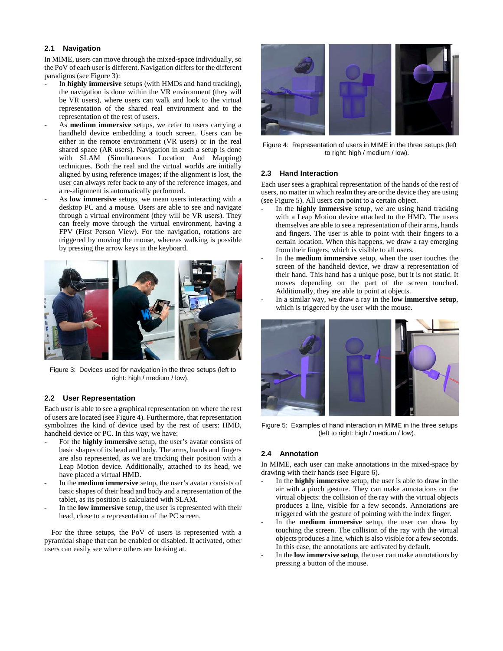# **2.1 Navigation**

In MIME, users can move through the mixed-space individually, so the PoV of each user is different. Navigation differs for the different paradigms (see Figure 3):

- In **highly immersive** setups (with HMDs and hand tracking), the navigation is done within the VR environment (they will be VR users), where users can walk and look to the virtual representation of the shared real environment and to the representation of the rest of users.
- As **medium immersive** setups, we refer to users carrying a handheld device embedding a touch screen. Users can be either in the remote environment (VR users) or in the real shared space (AR users). Navigation in such a setup is done with SLAM (Simultaneous Location And Mapping) techniques. Both the real and the virtual worlds are initially aligned by using reference images; if the alignment is lost, the user can always refer back to any of the reference images, and a re-alignment is automatically performed.
- As **low immersive** setups, we mean users interacting with a desktop PC and a mouse. Users are able to see and navigate through a virtual environment (they will be VR users). They can freely move through the virtual environment, having a FPV (First Person View). For the navigation, rotations are triggered by moving the mouse, whereas walking is possible by pressing the arrow keys in the keyboard.



Figure 3: Devices used for navigation in the three setups (left to right: high / medium / low).

## **2.2 User Representation**

Each user is able to see a graphical representation on where the rest of users are located (see Figure 4). Furthermore, that representation symbolizes the kind of device used by the rest of users: HMD, handheld device or PC. In this way, we have:

- For the **highly immersive** setup, the user's avatar consists of basic shapes of its head and body. The arms, hands and fingers are also represented, as we are tracking their position with a Leap Motion device. Additionally, attached to its head, we have placed a virtual HMD.
- In the **medium immersive** setup, the user's avatar consists of basic shapes of their head and body and a representation of the tablet, as its position is calculated with SLAM.
- In the **low immersive** setup, the user is represented with their head, close to a representation of the PC screen.

For the three setups, the PoV of users is represented with a pyramidal shape that can be enabled or disabled. If activated, other users can easily see where others are looking at.



Figure 4: Representation of users in MIME in the three setups (left to right: high / medium / low).

## **2.3 Hand Interaction**

Each user sees a graphical representation of the hands of the rest of users, no matter in which realm they are or the device they are using (see Figure 5). All users can point to a certain object.

- In the **highly immersive** setup, we are using hand tracking with a Leap Motion device attached to the HMD. The users themselves are able to see a representation of their arms, hands and fingers. The user is able to point with their fingers to a certain location. When this happens, we draw a ray emerging from their fingers, which is visible to all users.
- In the **medium immersive** setup, when the user touches the screen of the handheld device, we draw a representation of their hand. This hand has a unique pose, but it is not static. It moves depending on the part of the screen touched. Additionally, they are able to point at objects.
- In a similar way, we draw a ray in the **low immersive setup**, which is triggered by the user with the mouse.



Figure 5: Examples of hand interaction in MIME in the three setups (left to right: high / medium / low).

## **2.4 Annotation**

In MIME, each user can make annotations in the mixed-space by drawing with their hands (see Figure 6).

- In the **highly immersive** setup, the user is able to draw in the air with a pinch gesture. They can make annotations on the virtual objects: the collision of the ray with the virtual objects produces a line, visible for a few seconds. Annotations are triggered with the gesture of pointing with the index finger.
- In the **medium immersive** setup, the user can draw by touching the screen. The collision of the ray with the virtual objects produces a line, which is also visible for a few seconds. In this case, the annotations are activated by default.
- In the **low immersive setup**, the user can make annotations by pressing a button of the mouse.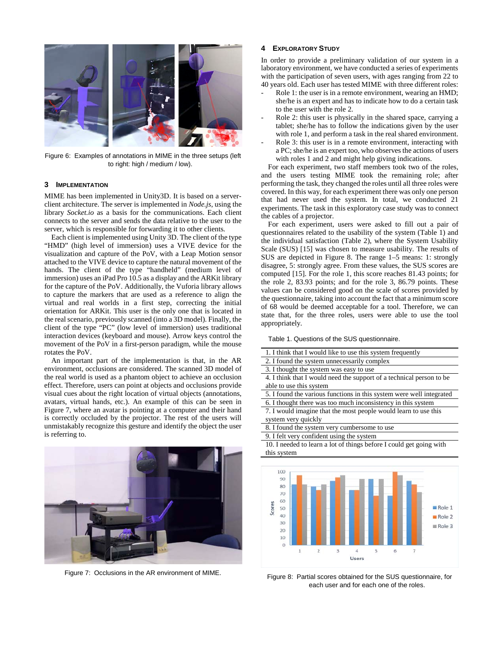

Figure 6: Examples of annotations in MIME in the three setups (left to right: high / medium / low).

#### **3 IMPLEMENTATION**

MIME has been implemented in Unity3D. It is based on a serverclient architecture. The server is implemented in *Node.js*, using the library *Socket.io* as a basis for the communications. Each client connects to the server and sends the data relative to the user to the server, which is responsible for forwarding it to other clients.

Each client is implemented using Unity 3D. The client of the type "HMD" (high level of immersion) uses a VIVE device for the visualization and capture of the PoV, with a Leap Motion sensor attached to the VIVE device to capture the natural movement of the hands. The client of the type "handheld" (medium level of immersion) uses an iPad Pro 10.5 as a display and the ARKit library for the capture of the PoV. Additionally, the Vuforia library allows to capture the markers that are used as a reference to align the virtual and real worlds in a first step, correcting the initial orientation for ARKit. This user is the only one that is located in the real scenario, previously scanned (into a 3D model). Finally, the client of the type "PC" (low level of immersion) uses traditional interaction devices (keyboard and mouse). Arrow keys control the movement of the PoV in a first-person paradigm, while the mouse rotates the PoV.

An important part of the implementation is that, in the AR environment, occlusions are considered. The scanned 3D model of the real world is used as a phantom object to achieve an occlusion effect. Therefore, users can point at objects and occlusions provide visual cues about the right location of virtual objects (annotations, avatars, virtual hands, etc.). An example of this can be seen in Figure 7, where an avatar is pointing at a computer and their hand is correctly occluded by the projector. The rest of the users will unmistakably recognize this gesture and identify the object the user is referring to.



Figure 7: Occlusions in the AR environment of MIME.

## **4 EXPLORATORY STUDY**

In order to provide a preliminary validation of our system in a laboratory environment, we have conducted a series of experiments with the participation of seven users, with ages ranging from 22 to 40 years old. Each user has tested MIME with three different roles:

- Role 1: the user is in a remote environment, wearing an HMD; she/he is an expert and has to indicate how to do a certain task to the user with the role 2.
- Role 2: this user is physically in the shared space, carrying a tablet; she/he has to follow the indications given by the user with role 1, and perform a task in the real shared environment.
- Role 3: this user is in a remote environment, interacting with a PC; she/he is an expert too, who observes the actions of users with roles 1 and 2 and might help giving indications.

For each experiment, two staff members took two of the roles, and the users testing MIME took the remaining role; after performing the task, they changed the roles until all three roles were covered. In this way, for each experiment there was only one person that had never used the system. In total, we conducted 21 experiments. The task in this exploratory case study was to connect the cables of a projector.

For each experiment, users were asked to fill out a pair of questionnaires related to the usability of the system (Table 1) and the individual satisfaction (Table 2), where the System Usability Scale (SUS) [\[15\]](#page-4-14) was chosen to measure usability. The results of SUS are depicted in Figure 8. The range 1–5 means: 1: strongly disagree, 5: strongly agree. From these values, the SUS scores are computed [\[15\]](#page-4-14). For the role 1, this score reaches 81.43 points; for the role 2, 83.93 points; and for the role 3, 86.79 points. These values can be considered good on the scale of scores provided by the questionnaire, taking into account the fact that a minimum score of 68 would be deemed acceptable for a tool. Therefore, we can state that, for the three roles, users were able to use the tool appropriately.

Table 1. Questions of the SUS questionnaire.

| 1. I think that I would like to use this system frequently           |  |  |  |
|----------------------------------------------------------------------|--|--|--|
| 2. I found the system unnecessarily complex                          |  |  |  |
| 3. I thought the system was easy to use                              |  |  |  |
| 4. I think that I would need the support of a technical person to be |  |  |  |
| able to use this system                                              |  |  |  |
| 5. I found the various functions in this system were well integrated |  |  |  |
| 6. I thought there was too much inconsistency in this system         |  |  |  |
| 7. I would imagine that the most people would learn to use this      |  |  |  |
| system very quickly                                                  |  |  |  |
| 8. I found the system very cumbersome to use                         |  |  |  |
| 9. I felt very confident using the system                            |  |  |  |
| 10. I needed to learn a lot of things before I could get going with  |  |  |  |
| this system                                                          |  |  |  |
|                                                                      |  |  |  |
| 100                                                                  |  |  |  |
|                                                                      |  |  |  |



Figure 8: Partial scores obtained for the SUS questionnaire, for each user and for each one of the roles.